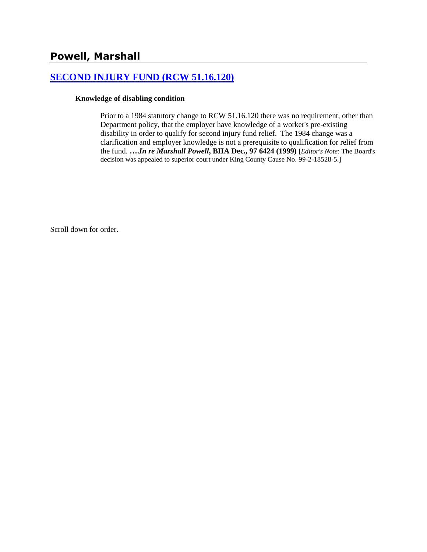#### **[SECOND INJURY FUND \(RCW 51.16.120\)](http://www.biia.wa.gov/SDSubjectIndex.html#SECOND_INJURY_FUND)**

#### **Knowledge of disabling condition**

Prior to a 1984 statutory change to RCW 51.16.120 there was no requirement, other than Department policy, that the employer have knowledge of a worker's pre-existing disability in order to qualify for second injury fund relief. The 1984 change was a clarification and employer knowledge is not a prerequisite to qualification for relief from the fund. **….***In re Marshall Powell***, BIIA Dec., 97 6424 (1999)** [*Editor's Note*: The Board's decision was appealed to superior court under King County Cause No. 99-2-18528-5.]

Scroll down for order.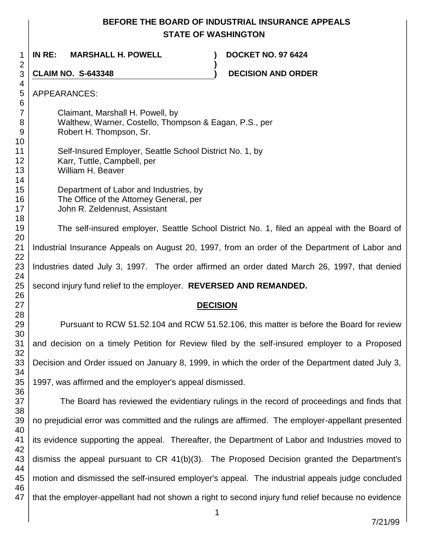# **BEFORE THE BOARD OF INDUSTRIAL INSURANCE APPEALS STATE OF WASHINGTON**

**)**

 **IN RE: MARSHALL H. POWELL ) DOCKET NO. 97 6424**

**CLAIM NO. S-643348 ) DECISION AND ORDER** 

APPEARANCES:

Claimant, Marshall H. Powell, by Walthew, Warner, Costello, Thompson & Eagan, P.S., per Robert H. Thompson, Sr.

 Self-Insured Employer, Seattle School District No. 1, by Karr, Tuttle, Campbell, per William H. Beaver

> Department of Labor and Industries, by The Office of the Attorney General, per John R. Zeldenrust, Assistant

The self-insured employer, Seattle School District No. 1, filed an appeal with the Board of Industrial Insurance Appeals on August 20, 1997, from an order of the Department of Labor and Industries dated July 3, 1997. The order affirmed an order dated March 26, 1997, that denied second injury fund relief to the employer. **REVERSED AND REMANDED.**

# **DECISION**

Pursuant to RCW 51.52.104 and RCW 51.52.106, this matter is before the Board for review and decision on a timely Petition for Review filed by the self-insured employer to a Proposed Decision and Order issued on January 8, 1999, in which the order of the Department dated July 3, 1997, was affirmed and the employer's appeal dismissed.

 The Board has reviewed the evidentiary rulings in the record of proceedings and finds that no prejudicial error was committed and the rulings are affirmed. The employer-appellant presented its evidence supporting the appeal. Thereafter, the Department of Labor and Industries moved to dismiss the appeal pursuant to CR 41(b)(3). The Proposed Decision granted the Department's motion and dismissed the self-insured employer's appeal. The industrial appeals judge concluded that the employer-appellant had not shown a right to second injury fund relief because no evidence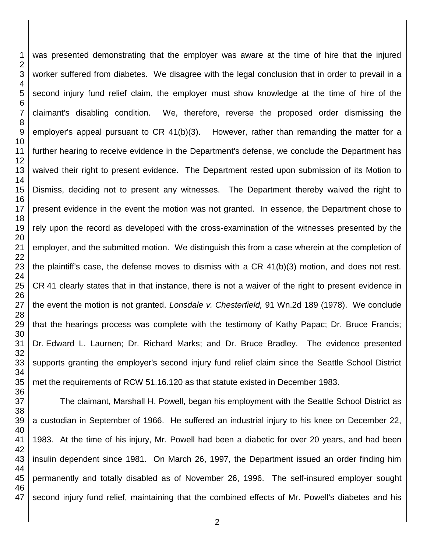was presented demonstrating that the employer was aware at the time of hire that the injured worker suffered from diabetes. We disagree with the legal conclusion that in order to prevail in a second injury fund relief claim, the employer must show knowledge at the time of hire of the claimant's disabling condition. We, therefore, reverse the proposed order dismissing the employer's appeal pursuant to CR 41(b)(3). However, rather than remanding the matter for a further hearing to receive evidence in the Department's defense, we conclude the Department has waived their right to present evidence. The Department rested upon submission of its Motion to Dismiss, deciding not to present any witnesses. The Department thereby waived the right to present evidence in the event the motion was not granted. In essence, the Department chose to rely upon the record as developed with the cross-examination of the witnesses presented by the employer, and the submitted motion. We distinguish this from a case wherein at the completion of the plaintiff's case, the defense moves to dismiss with a CR 41(b)(3) motion, and does not rest. CR 41 clearly states that in that instance, there is not a waiver of the right to present evidence in the event the motion is not granted. *Lonsdale v. Chesterfield,* 91 Wn.2d 189 (1978). We conclude that the hearings process was complete with the testimony of Kathy Papac; Dr. Bruce Francis; Dr. Edward L. Laurnen; Dr. Richard Marks; and Dr. Bruce Bradley. The evidence presented supports granting the employer's second injury fund relief claim since the Seattle School District met the requirements of RCW 51.16.120 as that statute existed in December 1983.

The claimant, Marshall H. Powell, began his employment with the Seattle School District as a custodian in September of 1966. He suffered an industrial injury to his knee on December 22, 1983. At the time of his injury, Mr. Powell had been a diabetic for over 20 years, and had been insulin dependent since 1981. On March 26, 1997, the Department issued an order finding him permanently and totally disabled as of November 26, 1996. The self-insured employer sought second injury fund relief, maintaining that the combined effects of Mr. Powell's diabetes and his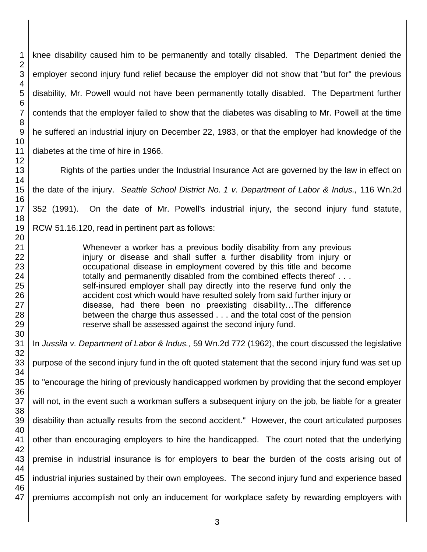knee disability caused him to be permanently and totally disabled. The Department denied the employer second injury fund relief because the employer did not show that "but for" the previous disability, Mr. Powell would not have been permanently totally disabled. The Department further contends that the employer failed to show that the diabetes was disabling to Mr. Powell at the time he suffered an industrial injury on December 22, 1983, or that the employer had knowledge of the diabetes at the time of hire in 1966.

Rights of the parties under the Industrial Insurance Act are governed by the law in effect on the date of the injury. *Seattle School District No. 1 v. Department of Labor & Indus.,* 116 Wn.2d 352 (1991). On the date of Mr. Powell's industrial injury, the second injury fund statute, RCW 51.16.120, read in pertinent part as follows:

> Whenever a worker has a previous bodily disability from any previous injury or disease and shall suffer a further disability from injury or occupational disease in employment covered by this title and become totally and permanently disabled from the combined effects thereof . . . self-insured employer shall pay directly into the reserve fund only the accident cost which would have resulted solely from said further injury or disease, had there been no preexisting disability…The difference between the charge thus assessed . . . and the total cost of the pension reserve shall be assessed against the second injury fund.

In *Jussila v. Department of Labor & Indus.,* 59 Wn.2d 772 (1962), the court discussed the legislative purpose of the second injury fund in the oft quoted statement that the second injury fund was set up to "encourage the hiring of previously handicapped workmen by providing that the second employer will not, in the event such a workman suffers a subsequent injury on the job, be liable for a greater disability than actually results from the second accident." However, the court articulated purposes other than encouraging employers to hire the handicapped. The court noted that the underlying premise in industrial insurance is for employers to bear the burden of the costs arising out of industrial injuries sustained by their own employees. The second injury fund and experience based premiums accomplish not only an inducement for workplace safety by rewarding employers with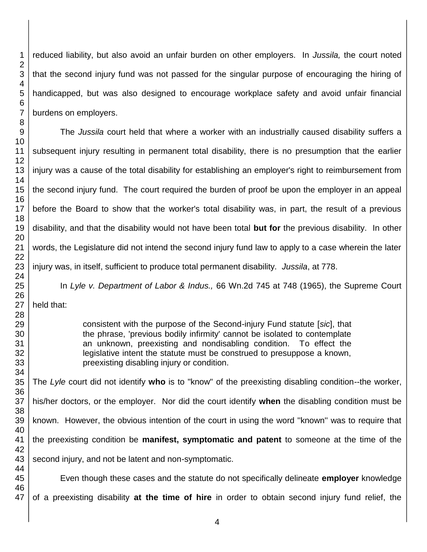reduced liability, but also avoid an unfair burden on other employers. In *Jussila,* the court noted that the second injury fund was not passed for the singular purpose of encouraging the hiring of handicapped, but was also designed to encourage workplace safety and avoid unfair financial burdens on employers. The *Jussila* court held that where a worker with an industrially caused disability suffers a subsequent injury resulting in permanent total disability, there is no presumption that the earlier injury was a cause of the total disability for establishing an employer's right to reimbursement from the second injury fund. The court required the burden of proof be upon the employer in an appeal before the Board to show that the worker's total disability was, in part, the result of a previous disability, and that the disability would not have been total **but for** the previous disability. In other words, the Legislature did not intend the second injury fund law to apply to a case wherein the later injury was, in itself, sufficient to produce total permanent disability. *Jussila*, at 778.

In *Lyle v. Department of Labor & Indus.,* 66 Wn.2d 745 at 748 (1965), the Supreme Court held that:

> consistent with the purpose of the Second-injury Fund statute [*sic*], that the phrase, 'previous bodily infirmity' cannot be isolated to contemplate an unknown, preexisting and nondisabling condition. To effect the legislative intent the statute must be construed to presuppose a known, preexisting disabling injury or condition.

The *Lyle* court did not identify **who** is to "know" of the preexisting disabling condition--the worker, his/her doctors, or the employer. Nor did the court identify **when** the disabling condition must be known. However, the obvious intention of the court in using the word ''known'' was to require that the preexisting condition be **manifest, symptomatic and patent** to someone at the time of the second injury, and not be latent and non-symptomatic.

Even though these cases and the statute do not specifically delineate **employer** knowledge of a preexisting disability **at the time of hire** in order to obtain second injury fund relief, the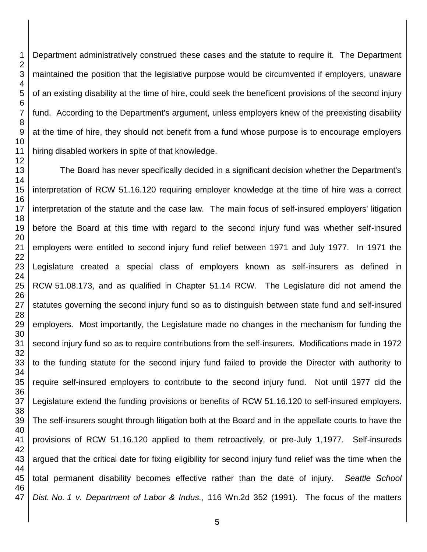Department administratively construed these cases and the statute to require it. The Department maintained the position that the legislative purpose would be circumvented if employers, unaware of an existing disability at the time of hire, could seek the beneficent provisions of the second injury fund. According to the Department's argument, unless employers knew of the preexisting disability at the time of hire, they should not benefit from a fund whose purpose is to encourage employers hiring disabled workers in spite of that knowledge.

The Board has never specifically decided in a significant decision whether the Department's interpretation of RCW 51.16.120 requiring employer knowledge at the time of hire was a correct interpretation of the statute and the case law. The main focus of self-insured employers' litigation before the Board at this time with regard to the second injury fund was whether self-insured employers were entitled to second injury fund relief between 1971 and July 1977. In 1971 the Legislature created a special class of employers known as self-insurers as defined in RCW 51.08.173, and as qualified in Chapter 51.14 RCW. The Legislature did not amend the statutes governing the second injury fund so as to distinguish between state fund and self-insured employers. Most importantly, the Legislature made no changes in the mechanism for funding the second injury fund so as to require contributions from the self-insurers. Modifications made in 1972 to the funding statute for the second injury fund failed to provide the Director with authority to require self-insured employers to contribute to the second injury fund. Not until 1977 did the Legislature extend the funding provisions or benefits of RCW 51.16.120 to self-insured employers. The self-insurers sought through litigation both at the Board and in the appellate courts to have the provisions of RCW 51.16.120 applied to them retroactively, or pre-July 1,1977. Self-insureds argued that the critical date for fixing eligibility for second injury fund relief was the time when the total permanent disability becomes effective rather than the date of injury. *Seattle School Dist. No. 1 v. Department of Labor & Indus.*, 116 Wn.2d 352 (1991). The focus of the matters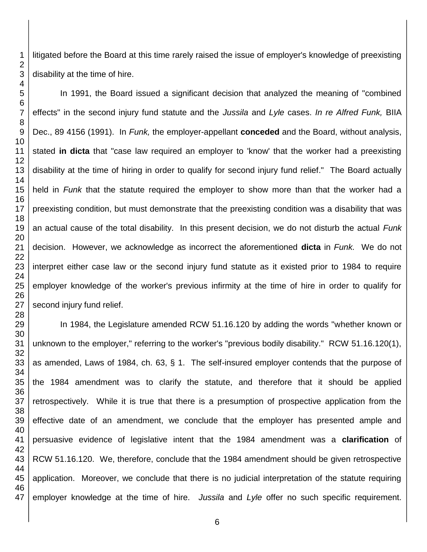litigated before the Board at this time rarely raised the issue of employer's knowledge of preexisting disability at the time of hire.

In 1991, the Board issued a significant decision that analyzed the meaning of "combined effects" in the second injury fund statute and the *Jussila* and *Lyle* cases. *In re Alfred Funk,* BIIA Dec., 89 4156 (1991). In *Funk,* the employer-appellant **conceded** and the Board, without analysis, stated **in dicta** that "case law required an employer to 'know' that the worker had a preexisting disability at the time of hiring in order to qualify for second injury fund relief." The Board actually held in *Funk* that the statute required the employer to show more than that the worker had a preexisting condition, but must demonstrate that the preexisting condition was a disability that was an actual cause of the total disability. In this present decision, we do not disturb the actual *Funk*  decision. However, we acknowledge as incorrect the aforementioned **dicta** in *Funk.* We do not interpret either case law or the second injury fund statute as it existed prior to 1984 to require employer knowledge of the worker's previous infirmity at the time of hire in order to qualify for second injury fund relief.

In 1984, the Legislature amended RCW 51.16.120 by adding the words "whether known or unknown to the employer," referring to the worker's "previous bodily disability." RCW 51.16.120(1), as amended, Laws of 1984, ch. 63, § 1. The self-insured employer contends that the purpose of the 1984 amendment was to clarify the statute, and therefore that it should be applied retrospectively. While it is true that there is a presumption of prospective application from the effective date of an amendment, we conclude that the employer has presented ample and persuasive evidence of legislative intent that the 1984 amendment was a **clarification** of RCW 51.16.120. We, therefore, conclude that the 1984 amendment should be given retrospective application. Moreover, we conclude that there is no judicial interpretation of the statute requiring employer knowledge at the time of hire. *Jussila* and *Lyle* offer no such specific requirement.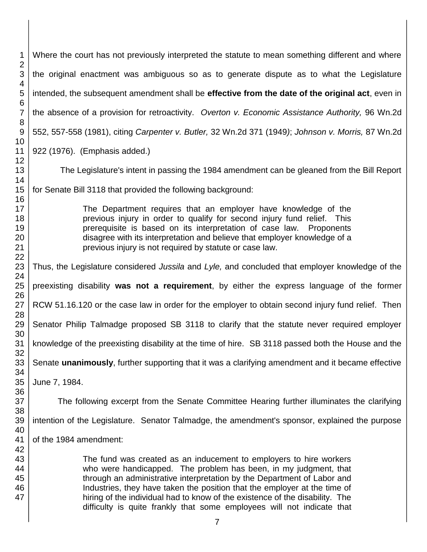Where the court has not previously interpreted the statute to mean something different and where the original enactment was ambiguous so as to generate dispute as to what the Legislature intended, the subsequent amendment shall be **effective from the date of the original act**, even in the absence of a provision for retroactivity. *Overton v. Economic Assistance Authority,* 96 Wn.2d 552, 557-558 (1981), citing *Carpenter v. Butler,* 32 Wn.2d 371 (1949*)*; *Johnson v. Morris,* 87 Wn.2d 922 (1976). (Emphasis added.) The Legislature's intent in passing the 1984 amendment can be gleaned from the Bill Report for Senate Bill 3118 that provided the following background: The Department requires that an employer have knowledge of the previous injury in order to qualify for second injury fund relief. This prerequisite is based on its interpretation of case law. Proponents disagree with its interpretation and believe that employer knowledge of a previous injury is not required by statute or case law. Thus, the Legislature considered *Jussila* and *Lyle,* and concluded that employer knowledge of the preexisting disability **was not a requirement**, by either the express language of the former RCW 51.16.120 or the case law in order for the employer to obtain second injury fund relief. Then Senator Philip Talmadge proposed SB 3118 to clarify that the statute never required employer knowledge of the preexisting disability at the time of hire. SB 3118 passed both the House and the Senate **unanimously**, further supporting that it was a clarifying amendment and it became effective June 7, 1984. The following excerpt from the Senate Committee Hearing further illuminates the clarifying intention of the Legislature. Senator Talmadge, the amendment's sponsor, explained the purpose of the 1984 amendment: The fund was created as an inducement to employers to hire workers who were handicapped. The problem has been, in my judgment, that through an administrative interpretation by the Department of Labor and Industries, they have taken the position that the employer at the time of hiring of the individual had to know of the existence of the disability. The difficulty is quite frankly that some employees will not indicate that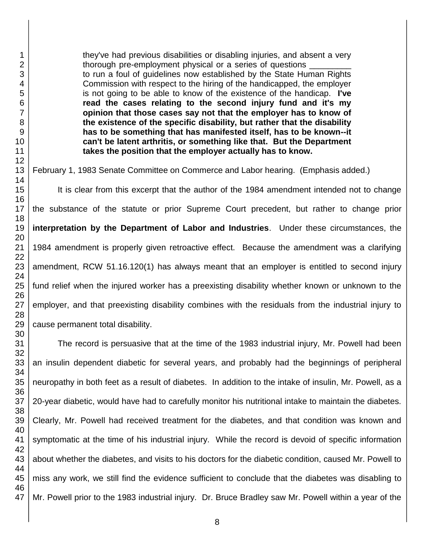they've had previous disabilities or disabling injuries, and absent a very thorough pre-employment physical or a series of questions \_ to run a foul of guidelines now established by the State Human Rights Commission with respect to the hiring of the handicapped, the employer is not going to be able to know of the existence of the handicap. **I've read the cases relating to the second injury fund and it's my opinion that those cases say not that the employer has to know of the existence of the specific disability, but rather that the disability has to be something that has manifested itself, has to be known--it can't be latent arthritis, or something like that. But the Department takes the position that the employer actually has to know.**

February 1, 1983 Senate Committee on Commerce and Labor hearing. (Emphasis added.)

It is clear from this excerpt that the author of the 1984 amendment intended not to change the substance of the statute or prior Supreme Court precedent, but rather to change prior **interpretation by the Department of Labor and Industries**. Under these circumstances, the 1984 amendment is properly given retroactive effect. Because the amendment was a clarifying amendment, RCW 51.16.120(1) has always meant that an employer is entitled to second injury fund relief when the injured worker has a preexisting disability whether known or unknown to the employer, and that preexisting disability combines with the residuals from the industrial injury to cause permanent total disability.

The record is persuasive that at the time of the 1983 industrial injury, Mr. Powell had been an insulin dependent diabetic for several years, and probably had the beginnings of peripheral neuropathy in both feet as a result of diabetes. In addition to the intake of insulin, Mr. Powell, as a 20-year diabetic, would have had to carefully monitor his nutritional intake to maintain the diabetes. Clearly, Mr. Powell had received treatment for the diabetes, and that condition was known and symptomatic at the time of his industrial injury. While the record is devoid of specific information about whether the diabetes, and visits to his doctors for the diabetic condition, caused Mr. Powell to miss any work, we still find the evidence sufficient to conclude that the diabetes was disabling to Mr. Powell prior to the 1983 industrial injury. Dr. Bruce Bradley saw Mr. Powell within a year of the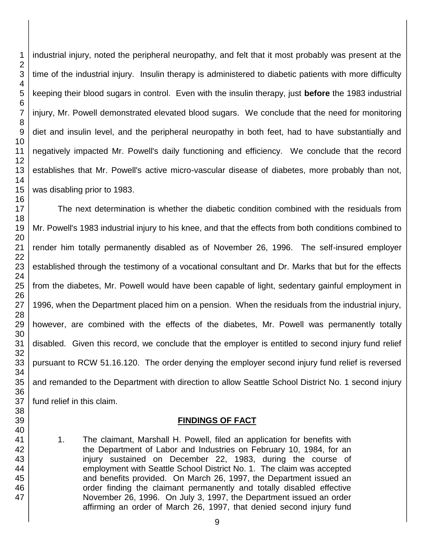industrial injury, noted the peripheral neuropathy, and felt that it most probably was present at the time of the industrial injury. Insulin therapy is administered to diabetic patients with more difficulty keeping their blood sugars in control. Even with the insulin therapy, just **before** the 1983 industrial injury, Mr. Powell demonstrated elevated blood sugars. We conclude that the need for monitoring diet and insulin level, and the peripheral neuropathy in both feet, had to have substantially and negatively impacted Mr. Powell's daily functioning and efficiency. We conclude that the record establishes that Mr. Powell's active micro-vascular disease of diabetes, more probably than not, was disabling prior to 1983. The next determination is whether the diabetic condition combined with the residuals from

Mr. Powell's 1983 industrial injury to his knee, and that the effects from both conditions combined to render him totally permanently disabled as of November 26, 1996. The self-insured employer established through the testimony of a vocational consultant and Dr. Marks that but for the effects from the diabetes, Mr. Powell would have been capable of light, sedentary gainful employment in 1996, when the Department placed him on a pension. When the residuals from the industrial injury, however, are combined with the effects of the diabetes, Mr. Powell was permanently totally disabled. Given this record, we conclude that the employer is entitled to second injury fund relief pursuant to RCW 51.16.120. The order denying the employer second injury fund relief is reversed and remanded to the Department with direction to allow Seattle School District No. 1 second injury fund relief in this claim.

# **FINDINGS OF FACT**

1. The claimant, Marshall H. Powell, filed an application for benefits with the Department of Labor and Industries on February 10, 1984, for an injury sustained on December 22, 1983, during the course of employment with Seattle School District No. 1. The claim was accepted and benefits provided. On March 26, 1997, the Department issued an order finding the claimant permanently and totally disabled effective November 26, 1996. On July 3, 1997, the Department issued an order affirming an order of March 26, 1997, that denied second injury fund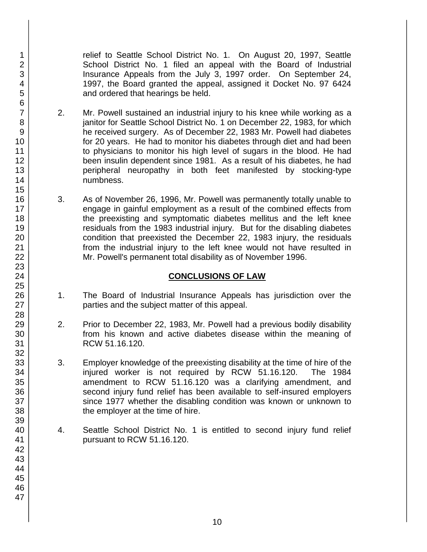relief to Seattle School District No. 1. On August 20, 1997, Seattle School District No. 1 filed an appeal with the Board of Industrial Insurance Appeals from the July 3, 1997 order. On September 24, 1997, the Board granted the appeal, assigned it Docket No. 97 6424 and ordered that hearings be held.

- 2. Mr. Powell sustained an industrial injury to his knee while working as a janitor for Seattle School District No. 1 on December 22, 1983, for which he received surgery. As of December 22, 1983 Mr. Powell had diabetes for 20 years. He had to monitor his diabetes through diet and had been to physicians to monitor his high level of sugars in the blood. He had been insulin dependent since 1981. As a result of his diabetes, he had peripheral neuropathy in both feet manifested by stocking-type numbness.
- 3. As of November 26, 1996, Mr. Powell was permanently totally unable to engage in gainful employment as a result of the combined effects from the preexisting and symptomatic diabetes mellitus and the left knee residuals from the 1983 industrial injury. But for the disabling diabetes condition that preexisted the December 22, 1983 injury, the residuals from the industrial injury to the left knee would not have resulted in Mr. Powell's permanent total disability as of November 1996.

#### **CONCLUSIONS OF LAW**

- 1. The Board of Industrial Insurance Appeals has jurisdiction over the parties and the subject matter of this appeal.
- 2. Prior to December 22, 1983, Mr. Powell had a previous bodily disability from his known and active diabetes disease within the meaning of RCW 51.16.120.
- 3. Employer knowledge of the preexisting disability at the time of hire of the injured worker is not required by RCW 51.16.120. The 1984 amendment to RCW 51.16.120 was a clarifying amendment, and second injury fund relief has been available to self-insured employers since 1977 whether the disabling condition was known or unknown to the employer at the time of hire.
- 4. Seattle School District No. 1 is entitled to second injury fund relief pursuant to RCW 51.16.120.

1 2